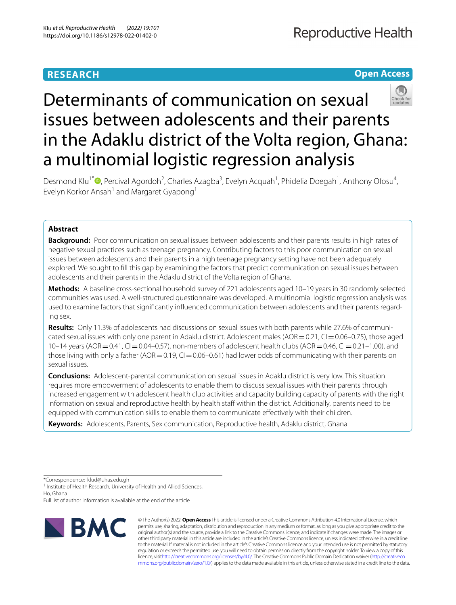# **RESEARCH**

# **Open Access**



# Determinants of communication on sexual issues between adolescents and their parents in the Adaklu district of the Volta region, Ghana: a multinomial logistic regression analysis

Desmond Klu<sup>1[\\*](http://orcid.org/0000-0002-2800-2943)</sup><sup>®</sup>, Percival Agordoh<sup>2</sup>, Charles Azagba<sup>3</sup>, Evelyn Acquah<sup>1</sup>, Phidelia Doegah<sup>1</sup>, Anthony Ofosu<sup>4</sup>, Evelyn Korkor Ansah<sup>1</sup> and Margaret Gyapong<sup>1</sup>

# **Abstract**

**Background:** Poor communication on sexual issues between adolescents and their parents results in high rates of negative sexual practices such as teenage pregnancy. Contributing factors to this poor communication on sexual issues between adolescents and their parents in a high teenage pregnancy setting have not been adequately explored. We sought to fll this gap by examining the factors that predict communication on sexual issues between adolescents and their parents in the Adaklu district of the Volta region of Ghana.

**Methods:** A baseline cross-sectional household survey of 221 adolescents aged 10–19 years in 30 randomly selected communities was used. A well-structured questionnaire was developed. A multinomial logistic regression analysis was used to examine factors that signifcantly infuenced communication between adolescents and their parents regarding sex.

**Results:** Only 11.3% of adolescents had discussions on sexual issues with both parents while 27.6% of communicated sexual issues with only one parent in Adaklu district. Adolescent males ( $AOR = 0.21$ ,  $Cl = 0.06-0.75$ ), those aged 10–14 years (AOR = 0.41, CI = 0.04–0.57), non-members of adolescent health clubs (AOR = 0.46, CI = 0.21–1.00), and those living with only a father (AOR =  $0.19$ , CI =  $0.06$ –0.61) had lower odds of communicating with their parents on sexual issues.

**Conclusions:** Adolescent-parental communication on sexual issues in Adaklu district is very low. This situation requires more empowerment of adolescents to enable them to discuss sexual issues with their parents through increased engagement with adolescent health club activities and capacity building capacity of parents with the right information on sexual and reproductive health by health staff within the district. Additionally, parents need to be equipped with communication skills to enable them to communicate efectively with their children.

**Keywords:** Adolescents, Parents, Sex communication, Reproductive health, Adaklu district, Ghana

\*Correspondence: klud@uhas.edu.gh

<sup>1</sup> Institute of Health Research, University of Health and Allied Sciences, Ho, Ghana

Full list of author information is available at the end of the article



© The Author(s) 2022. **Open Access** This article is licensed under a Creative Commons Attribution 4.0 International License, which permits use, sharing, adaptation, distribution and reproduction in any medium or format, as long as you give appropriate credit to the original author(s) and the source, provide a link to the Creative Commons licence, and indicate if changes were made. The images or other third party material in this article are included in the article's Creative Commons licence, unless indicated otherwise in a credit line to the material. If material is not included in the article's Creative Commons licence and your intended use is not permitted by statutory regulation or exceeds the permitted use, you will need to obtain permission directly from the copyright holder. To view a copy of this licence, visi[thttp://creativecommons.org/licenses/by/4.0/](http://creativecommons.org/licenses/by/4.0/). The Creative Commons Public Domain Dedication waiver [\(http://creativeco](http://creativecommons.org/publicdomain/zero/1.0/) [mmons.org/publicdomain/zero/1.0/](http://creativecommons.org/publicdomain/zero/1.0/)) applies to the data made available in this article, unless otherwise stated in a credit line to the data.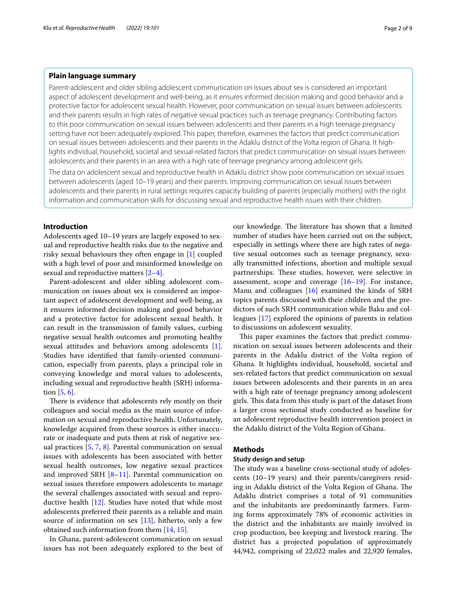# **Plain language summary**

Parent-adolescent and older sibling adolescent communication on issues about sex is considered an important aspect of adolescent development and well-being, as it ensures informed decision making and good behavior and a protective factor for adolescent sexual health. However, poor communication on sexual issues between adolescents and their parents results in high rates of negative sexual practices such as teenage pregnancy. Contributing factors to this poor communication on sexual issues between adolescents and their parents in a high teenage pregnancy setting have not been adequately explored. This paper, therefore, examines the factors that predict communication on sexual issues between adolescents and their parents in the Adaklu district of the Volta region of Ghana. It highlights individual, household, societal and sexual-related factors that predict communication on sexual issues between adolescents and their parents in an area with a high rate of teenage pregnancy among adolescent girls.

The data on adolescent sexual and reproductive health in Adaklu district show poor communication on sexual issues between adolescents (aged 10–19 years) and their parents. Improving communication on sexual issues between adolescents and their parents in rural settings requires capacity building of parents (especially mothers) with the right information and communication skills for discussing sexual and reproductive health issues with their children.

# **Introduction**

Adolescents aged 10–19 years are largely exposed to sexual and reproductive health risks due to the negative and risky sexual behaviours they often engage in [[1\]](#page-7-0) coupled with a high level of poor and misinformed knowledge on sexual and reproductive matters  $[2-4]$  $[2-4]$ .

Parent-adolescent and older sibling adolescent communication on issues about sex is considered an important aspect of adolescent development and well-being, as it ensures informed decision making and good behavior and a protective factor for adolescent sexual health. It can result in the transmission of family values, curbing negative sexual health outcomes and promoting healthy sexual attitudes and behaviors among adolescents [\[1](#page-7-0)]. Studies have identifed that family-oriented communication, especially from parents, plays a principal role in conveying knowledge and moral values to adolescents, including sexual and reproductive health (SRH) information [[5,](#page-7-3) [6](#page-7-4)].

There is evidence that adolescents rely mostly on their colleagues and social media as the main source of information on sexual and reproductive health. Unfortunately, knowledge acquired from these sources is either inaccurate or inadequate and puts them at risk of negative sexual practices [\[5](#page-7-3), [7](#page-7-5), [8](#page-8-0)]. Parental communication on sexual issues with adolescents has been associated with better sexual health outcomes, low negative sexual practices and improved SRH  $[8-11]$  $[8-11]$ . Parental communication on sexual issues therefore empowers adolescents to manage the several challenges associated with sexual and reproductive health [[12\]](#page-8-2). Studies have noted that while most adolescents preferred their parents as a reliable and main source of information on sex  $[13]$  $[13]$ , hitherto, only a few obtained such information from them [[14,](#page-8-4) [15\]](#page-8-5).

In Ghana, parent-adolescent communication on sexual issues has not been adequately explored to the best of our knowledge. The literature has shown that a limited number of studies have been carried out on the subject, especially in settings where there are high rates of negative sexual outcomes such as teenage pregnancy, sexually transmitted infections, abortion and multiple sexual partnerships. These studies, however, were selective in assessment, scope and coverage [[16](#page-8-6)[–19](#page-8-7)]. For instance, Manu and colleagues [\[16](#page-8-6)] examined the kinds of SRH topics parents discussed with their children and the predictors of such SRH communication while Baku and colleagues [\[17\]](#page-8-8) explored the opinions of parents in relation to discussions on adolescent sexuality.

This paper examines the factors that predict communication on sexual issues between adolescents and their parents in the Adaklu district of the Volta region of Ghana. It highlights individual, household, societal and sex-related factors that predict communication on sexual issues between adolescents and their parents in an area with a high rate of teenage pregnancy among adolescent girls. This data from this study is part of the dataset from a larger cross sectional study conducted as baseline for an adolescent reproductive health intervention project in the Adaklu district of the Volta Region of Ghana.

#### **Methods**

#### **Study design and setup**

The study was a baseline cross-sectional study of adolescents (10–19 years) and their parents/caregivers residing in Adaklu district of the Volta Region of Ghana. The Adaklu district comprises a total of 91 communities and the inhabitants are predominantly farmers. Farming forms approximately 78% of economic activities in the district and the inhabitants are mainly involved in crop production, bee keeping and livestock rearing. The district has a projected population of approximately 44,942, comprising of 22,022 males and 22,920 females,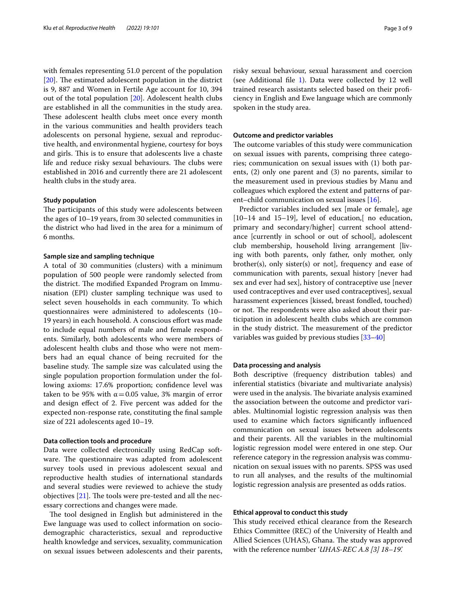with females representing 51.0 percent of the population  $[20]$  $[20]$ . The estimated adolescent population in the district is 9, 887 and Women in Fertile Age account for 10, 394 out of the total population [\[20](#page-8-9)]. Adolescent health clubs are established in all the communities in the study area. These adolescent health clubs meet once every month in the various communities and health providers teach adolescents on personal hygiene, sexual and reproductive health, and environmental hygiene, courtesy for boys and girls. This is to ensure that adolescents live a chaste life and reduce risky sexual behaviours. The clubs were established in 2016 and currently there are 21 adolescent health clubs in the study area.

#### **Study population**

The participants of this study were adolescents between the ages of 10–19 years, from 30 selected communities in the district who had lived in the area for a minimum of 6 months.

#### **Sample size and sampling technique**

A total of 30 communities (clusters) with a minimum population of 500 people were randomly selected from the district. The modified Expanded Program on Immunisation (EPI) cluster sampling technique was used to select seven households in each community. To which questionnaires were administered to adolescents (10– 19 years) in each household. A conscious effort was made to include equal numbers of male and female respondents. Similarly, both adolescents who were members of adolescent health clubs and those who were not members had an equal chance of being recruited for the baseline study. The sample size was calculated using the single population proportion formulation under the following axioms: 17.6% proportion; confidence level was taken to be 95% with  $\alpha$  = 0.05 value, 3% margin of error and design efect of 2. Five percent was added for the expected non-response rate, constituting the fnal sample size of 221 adolescents aged 10–19.

#### **Data collection tools and procedure**

Data were collected electronically using RedCap software. The questionnaire was adapted from adolescent survey tools used in previous adolescent sexual and reproductive health studies of international standards and several studies were reviewed to achieve the study objectives  $[21]$ . The tools were pre-tested and all the necessary corrections and changes were made.

The tool designed in English but administered in the Ewe language was used to collect information on sociodemographic characteristics, sexual and reproductive health knowledge and services, sexuality, communication on sexual issues between adolescents and their parents, risky sexual behaviour, sexual harassment and coercion (see Additional fle [1\)](#page-7-6). Data were collected by 12 well trained research assistants selected based on their profciency in English and Ewe language which are commonly spoken in the study area.

#### **Outcome and predictor variables**

The outcome variables of this study were communication on sexual issues with parents, comprising three categories; communication on sexual issues with (1) both parents, (2) only one parent and (3) no parents, similar to the measurement used in previous studies by Manu and colleagues which explored the extent and patterns of parent–child communication on sexual issues [[16\]](#page-8-6).

Predictor variables included sex [male or female], age [10–14 and 15–19], level of education,[ no education, primary and secondary/higher] current school attendance [currently in school or out of school], adolescent club membership, household living arrangement [living with both parents, only father, only mother, only brother(s), only sister(s) or not], frequency and ease of communication with parents, sexual history [never had sex and ever had sex], history of contraceptive use [never used contraceptives and ever used contraceptives], sexual harassment experiences [kissed, breast fondled, touched) or not. The respondents were also asked about their participation in adolescent health clubs which are common in the study district. The measurement of the predictor variables was guided by previous studies [\[33](#page-8-11)[–40](#page-8-12)]

#### **Data processing and analysis**

Both descriptive (frequency distribution tables) and inferential statistics (bivariate and multivariate analysis) were used in the analysis. The bivariate analysis examined the association between the outcome and predictor variables. Multinomial logistic regression analysis was then used to examine which factors signifcantly infuenced communication on sexual issues between adolescents and their parents. All the variables in the multinomial logistic regression model were entered in one step. Our reference category in the regression analysis was communication on sexual issues with no parents. SPSS was used to run all analyses, and the results of the multinomial logistic regression analysis are presented as odds ratios.

#### **Ethical approval to conduct this study**

This study received ethical clearance from the Research Ethics Committee (REC) of the University of Health and Allied Sciences (UHAS), Ghana. The study was approved with the reference number '*UHAS-REC A.8 [3] 18–19'.*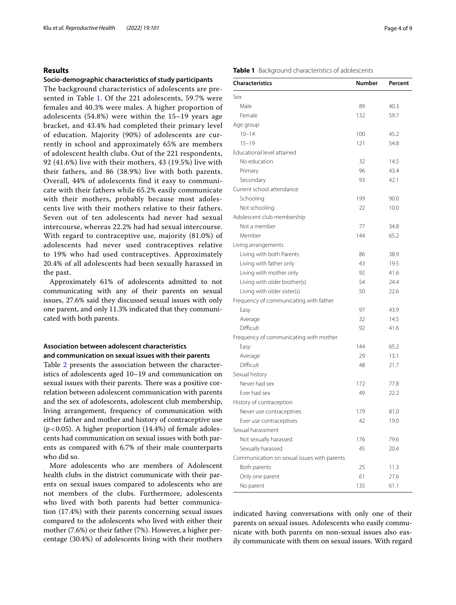# **Results**

#### **Socio‑demographic characteristics of study participants**

The background characteristics of adolescents are presented in Table [1](#page-3-0). Of the 221 adolescents, 59.7% were females and 40.3% were males. A higher proportion of adolescents (54.8%) were within the 15–19 years age bracket, and 43.4% had completed their primary level of education. Majority (90%) of adolescents are currently in school and approximately 65% are members of adolescent health clubs. Out of the 221 respondents, 92 (41.6%) live with their mothers, 43 (19.5%) live with their fathers, and 86 (38.9%) live with both parents. Overall, 44% of adolescents find it easy to communicate with their fathers while 65.2% easily communicate with their mothers, probably because most adolescents live with their mothers relative to their fathers. Seven out of ten adolescents had never had sexual intercourse, whereas 22.2% had had sexual intercourse. With regard to contraceptive use, majority (81.0%) of adolescents had never used contraceptives relative to 19% who had used contraceptives. Approximately 20.4% of all adolescents had been sexually harassed in the past.

Approximately 61% of adolescents admitted to not communicating with any of their parents on sexual issues, 27.6% said they discussed sexual issues with only one parent, and only 11.3% indicated that they communicated with both parents.

# **Association between adolescent characteristics and communication on sexual issues with their parents**

Table [2](#page-4-0) presents the association between the characteristics of adolescents aged 10–19 and communication on sexual issues with their parents. There was a positive correlation between adolescent communication with parents and the sex of adolescents, adolescent club membership, living arrangement, frequency of communication with either father and mother and history of contraceptive use ( $p$ <0.05). A higher proportion (14.4%) of female adolescents had communication on sexual issues with both parents as compared with 6.7% of their male counterparts who did so.

More adolescents who are members of Adolescent health clubs in the district communicate with their parents on sexual issues compared to adolescents who are not members of the clubs. Furthermore, adolescents who lived with both parents had better communication (17.4%) with their parents concerning sexual issues compared to the adolescents who lived with either their mother (7.6%) or their father (7%). However, a higher percentage (30.4%) of adolescents living with their mothers

#### <span id="page-3-0"></span>**Table 1** Background characteristics of adolescents

| <b>Characteristics</b>                      | <b>Number</b> | Percent |
|---------------------------------------------|---------------|---------|
| Sex                                         |               |         |
| Male                                        | 89            | 40.3    |
| Female                                      | 132           | 59.7    |
| Age group                                   |               |         |
| $10 - 14$                                   | 100           | 45.2    |
| $15 - 19$                                   | 121           | 54.8    |
| Educational level attained                  |               |         |
| No education                                | 32            | 14.5    |
| Primary                                     | 96            | 43.4    |
| Secondary                                   | 93            | 42.1    |
| Current school attendance                   |               |         |
| Schooling                                   | 199           | 90.0    |
| Not schooling                               | 22            | 10.0    |
| Adolescent club membership                  |               |         |
| Not a member                                | 77            | 34.8    |
| Member                                      | 144           | 65.2    |
| Living arrangements                         |               |         |
| Living with both Parents                    | 86            | 38.9    |
| Living with father only                     | 43            | 19.5    |
| Living with mother only                     | 92            | 41.6    |
| Living with older brother(s)                | 54            | 24.4    |
| Living with older sister(s)                 | 50            | 22.6    |
| Frequency of communicating with father      |               |         |
| Easy                                        | 97            | 43.9    |
| Average                                     | 32            | 14.5    |
| Difficult                                   | 92            | 41.6    |
| Frequency of communicating with mother      |               |         |
| Easy                                        | 144           | 65.2    |
| Average                                     | 29            | 13.1    |
| Difficult                                   | 48            | 21.7    |
| Sexual history                              |               |         |
| Never had sex                               | 172           | 77.8    |
| Ever had sex                                | 49            | 22.2    |
| History of contraception                    |               |         |
| Never use contraceptives                    | 179           | 81.0    |
| Ever use contraceptives                     | 42            | 19.0    |
| Sexual harassment                           |               |         |
| Not sexually harassed                       | 176           | 79.6    |
| Sexually harassed                           | 45            | 20.4    |
| Communication on sexual issues with parents |               |         |
| Both parents                                | 25            | 11.3    |
| Only one parent                             | 61            | 27.6    |
| No parent                                   | 135           | 61.1    |

indicated having conversations with only one of their parents on sexual issues. Adolescents who easily communicate with both parents on non-sexual issues also easily communicate with them on sexual issues. With regard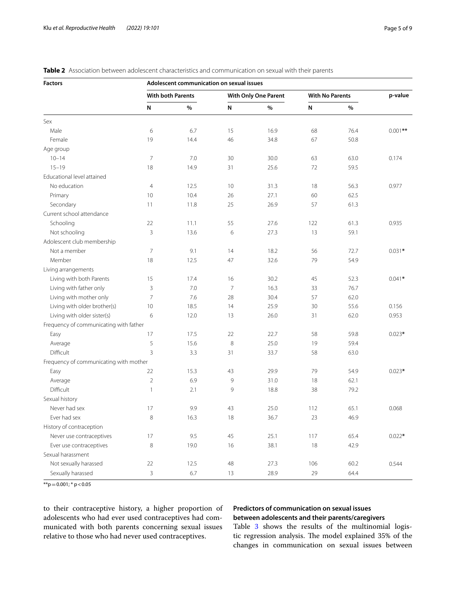| <b>Factors</b>                         | Adolescent communication on sexual issues |                          |                |                      |     |                        |           |
|----------------------------------------|-------------------------------------------|--------------------------|----------------|----------------------|-----|------------------------|-----------|
|                                        |                                           | <b>With both Parents</b> |                | With Only One Parent |     | <b>With No Parents</b> | p-value   |
|                                        | N                                         | $\%$                     | N              | %                    | N   | $\%$                   |           |
| Sex                                    |                                           |                          |                |                      |     |                        |           |
| Male                                   | 6                                         | 6.7                      | 15             | 16.9                 | 68  | 76.4                   | $0.001**$ |
| Female                                 | 19                                        | 14.4                     | 46             | 34.8                 | 67  | 50.8                   |           |
| Age group                              |                                           |                          |                |                      |     |                        |           |
| $10 - 14$                              | $\overline{7}$                            | 7.0                      | 30             | 30.0                 | 63  | 63.0                   | 0.174     |
| $15 - 19$                              | 18                                        | 14.9                     | 31             | 25.6                 | 72  | 59.5                   |           |
| Educational level attained             |                                           |                          |                |                      |     |                        |           |
| No education                           | $\overline{4}$                            | 12.5                     | 10             | 31.3                 | 18  | 56.3                   | 0.977     |
| Primary                                | 10                                        | 10.4                     | 26             | 27.1                 | 60  | 62.5                   |           |
| Secondary                              | 11                                        | 11.8                     | 25             | 26.9                 | 57  | 61.3                   |           |
| Current school attendance              |                                           |                          |                |                      |     |                        |           |
| Schooling                              | 22                                        | 11.1                     | 55             | 27.6                 | 122 | 61.3                   | 0.935     |
| Not schooling                          | 3                                         | 13.6                     | 6              | 27.3                 | 13  | 59.1                   |           |
| Adolescent club membership             |                                           |                          |                |                      |     |                        |           |
| Not a member                           | $\overline{7}$                            | 9.1                      | 14             | 18.2                 | 56  | 72.7                   | $0.031*$  |
| Member                                 | 18                                        | 12.5                     | 47             | 32.6                 | 79  | 54.9                   |           |
| Living arrangements                    |                                           |                          |                |                      |     |                        |           |
| Living with both Parents               | 15                                        | 17.4                     | 16             | 30.2                 | 45  | 52.3                   | $0.041*$  |
| Living with father only                | 3                                         | 7.0                      | $\overline{7}$ | 16.3                 | 33  | 76.7                   |           |
| Living with mother only                | $\overline{7}$                            | 7.6                      | 28             | 30.4                 | 57  | 62.0                   |           |
| Living with older brother(s)           | 10                                        | 18.5                     | 14             | 25.9                 | 30  | 55.6                   | 0.156     |
| Living with older sister(s)            | 6                                         | 12.0                     | 13             | 26.0                 | 31  | 62.0                   | 0.953     |
| Frequency of communicating with father |                                           |                          |                |                      |     |                        |           |
| Easy                                   | 17                                        | 17.5                     | 22             | 22.7                 | 58  | 59.8                   | $0.023*$  |
| Average                                | 5                                         | 15.6                     | 8              | 25.0                 | 19  | 59.4                   |           |
| Difficult                              | $\overline{3}$                            | 3.3                      | 31             | 33.7                 | 58  | 63.0                   |           |
| Frequency of communicating with mother |                                           |                          |                |                      |     |                        |           |
| Easy                                   | 22                                        | 15.3                     | 43             | 29.9                 | 79  | 54.9                   | $0.023*$  |
| Average                                | $\overline{2}$                            | 6.9                      | 9              | 31.0                 | 18  | 62.1                   |           |
| Difficult                              | $\mathbf{1}$                              | 2.1                      | 9              | 18.8                 | 38  | 79.2                   |           |
| Sexual history                         |                                           |                          |                |                      |     |                        |           |
| Never had sex                          | 17                                        | 9.9                      | 43             | 25.0                 | 112 | 65.1                   | 0.068     |
| Ever had sex                           | 8                                         | 16.3                     | 18             | 36.7                 | 23  | 46.9                   |           |
| History of contraception               |                                           |                          |                |                      |     |                        |           |
| Never use contraceptives               | 17                                        | 9.5                      | 45             | 25.1                 | 117 | 65.4                   | $0.022*$  |
| Ever use contraceptives                | 8                                         | 19.0                     | 16             | 38.1                 | 18  | 42.9                   |           |
| Sexual harassment                      |                                           |                          |                |                      |     |                        |           |
| Not sexually harassed                  | 22                                        | 12.5                     | 48             | 27.3                 | 106 | 60.2                   | 0.544     |
| Sexually harassed                      | 3                                         | 6.7                      | 13             | 28.9                 | 29  | 64.4                   |           |

# <span id="page-4-0"></span>**Table 2** Association between adolescent characteristics and communication on sexual with their parents

 $**p=0.001$ ;  $* p < 0.05$ 

to their contraceptive history, a higher proportion of adolescents who had ever used contraceptives had communicated with both parents concerning sexual issues relative to those who had never used contraceptives.

# **Predictors of communication on sexual issues between adolescents and their parents/caregivers**

Table [3](#page-5-0) shows the results of the multinomial logistic regression analysis. The model explained 35% of the changes in communication on sexual issues between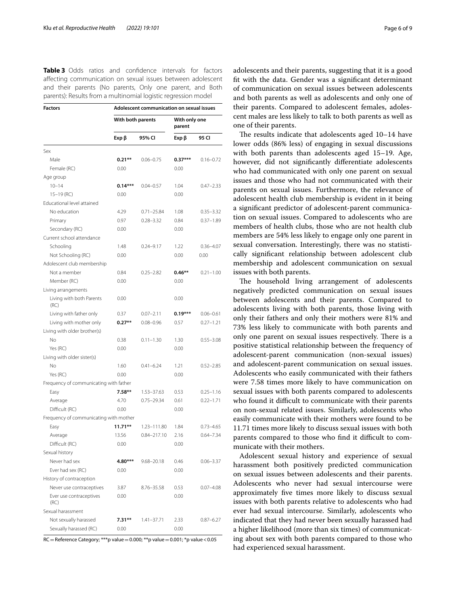<span id="page-5-0"></span>**Table 3** Odds ratios and confidence intervals for factors afecting communication on sexual issues between adolescent and their parents (No parents, Only one parent, and Both parents): Results from a multinomial logistic regression model

| <b>Factors</b>                         | Adolescent communication on sexual issues |                 |                         |               |  |  |  |
|----------------------------------------|-------------------------------------------|-----------------|-------------------------|---------------|--|--|--|
|                                        | With both parents                         |                 | With only one<br>parent |               |  |  |  |
|                                        | Exp β                                     | 95% CI          | Exp β                   | 95 CI         |  |  |  |
| Sex                                    |                                           |                 |                         |               |  |  |  |
| Male                                   | $0.21***$                                 | $0.06 - 0.75$   | $0.37***$               | $0.16 - 0.72$ |  |  |  |
| Female (RC)                            | 0.00                                      |                 | 0.00                    |               |  |  |  |
| Age group                              |                                           |                 |                         |               |  |  |  |
| $10 - 14$                              | $0.14***$                                 | $0.04 - 0.57$   | 1.04                    | $0.47 - 2.33$ |  |  |  |
| $15-19$ (RC)                           | 0.00                                      |                 | 0.00                    |               |  |  |  |
| Educational level attained             |                                           |                 |                         |               |  |  |  |
| No education                           | 4.29                                      | $0.71 - 25.84$  | 1.08                    | $0.35 - 3.32$ |  |  |  |
| Primary                                | 0.97                                      | $0.28 - 3.32$   | 0.84                    | $0.37 - 1.89$ |  |  |  |
| Secondary (RC)                         | 0.00                                      |                 | 0.00                    |               |  |  |  |
| Current school attendance              |                                           |                 |                         |               |  |  |  |
| Schooling                              | 1.48                                      | $0.24 - 9.17$   | 1.22                    | $0.36 - 4.07$ |  |  |  |
| Not Schooling (RC)                     | 0.00                                      |                 | 0.00                    | 0.00          |  |  |  |
| Adolescent club membership             |                                           |                 |                         |               |  |  |  |
| Not a member                           | 0.84                                      | $0.25 - 2.82$   | $0.46**$                | $0.21 - 1.00$ |  |  |  |
| Member (RC)                            | 0.00                                      |                 | 0.00                    |               |  |  |  |
| Living arrangements                    |                                           |                 |                         |               |  |  |  |
| Living with both Parents<br>(RC)       | 0.00                                      |                 | 0.00                    |               |  |  |  |
| Living with father only                | 0.37                                      | $0.07 - 2.11$   | $0.19***$               | $0.06 - 0.61$ |  |  |  |
| Living with mother only                | $0.27**$                                  | $0.08 - 0.96$   | 0.57                    | $0.27 - 1.21$ |  |  |  |
| Living with older brother(s)           |                                           |                 |                         |               |  |  |  |
| No                                     | 0.38                                      | $0.11 - 1.30$   | 1.30                    | $0.55 - 3.08$ |  |  |  |
| Yes (RC)                               | 0.00                                      |                 | 0.00                    |               |  |  |  |
| Living with older sister(s)            |                                           |                 |                         |               |  |  |  |
| No                                     | 1.60                                      | $0.41 - 6.24$   | 1.21                    | $0.52 - 2.85$ |  |  |  |
| Yes (RC)                               | 0.00                                      |                 | 0.00                    |               |  |  |  |
| Frequency of communicating with father |                                           |                 |                         |               |  |  |  |
| Easy                                   | $7.58**$                                  | 1.53-37.63      | 0.53                    | $0.25 - 1.16$ |  |  |  |
| Average                                | 4.70                                      | $0.75 - 29.34$  | 0.61                    | $0.22 - 1.71$ |  |  |  |
| Difficult (RC)                         | 0.00                                      |                 | 0.00                    |               |  |  |  |
| Frequency of communicating with mother |                                           |                 |                         |               |  |  |  |
| Easy                                   | $11.71***$                                | 1.23-111.80     | 1.84                    | $0.73 - 4.65$ |  |  |  |
| Average                                | 13.56                                     | $0.84 - 217.10$ | 2.16                    | $0.64 - 7.34$ |  |  |  |
| Difficult (RC)                         | 0.00                                      |                 | 0.00                    |               |  |  |  |
| Sexual history                         |                                           |                 |                         |               |  |  |  |
| Never had sex                          | 4.80***                                   | 9.68-20.18      | 0.46                    | $0.06 - 3.37$ |  |  |  |
| Ever had sex (RC)                      | 0.00                                      |                 | 0.00                    |               |  |  |  |
| History of contraception               |                                           |                 |                         |               |  |  |  |
| Never use contraceptives               | 3.87                                      | 8.76-35.58      | 0.53                    | $0.07 - 4.08$ |  |  |  |
| Ever use contraceptives<br>(RC)        | 0.00                                      |                 | 0.00                    |               |  |  |  |
| Sexual harassment                      |                                           |                 |                         |               |  |  |  |
| Not sexually harassed                  | $7.31**$                                  | $1.41 - 37.71$  | 2.33                    | $0.87 - 6.27$ |  |  |  |
| Sexually harassed (RC)                 | 0.00                                      |                 | 0.00                    |               |  |  |  |

RC=Reference Category; \*\*\*p value=0.000; \*\*p value=0.001; \*p value<0.05

adolescents and their parents, suggesting that it is a good ft with the data. Gender was a signifcant determinant of communication on sexual issues between adolescents and both parents as well as adolescents and only one of their parents. Compared to adolescent females, adolescent males are less likely to talk to both parents as well as one of their parents.

The results indicate that adolescents aged  $10-14$  have lower odds (86% less) of engaging in sexual discussions with both parents than adolescents aged 15–19. Age, however, did not signifcantly diferentiate adolescents who had communicated with only one parent on sexual issues and those who had not communicated with their parents on sexual issues. Furthermore, the relevance of adolescent health club membership is evident in it being a signifcant predictor of adolescent-parent communication on sexual issues. Compared to adolescents who are members of health clubs, those who are not health club members are 54% less likely to engage only one parent in sexual conversation. Interestingly, there was no statistically signifcant relationship between adolescent club membership and adolescent communication on sexual issues with both parents.

The household living arrangement of adolescents negatively predicted communication on sexual issues between adolescents and their parents. Compared to adolescents living with both parents, those living with only their fathers and only their mothers were 81% and 73% less likely to communicate with both parents and only one parent on sexual issues respectively. There is a positive statistical relationship between the frequency of adolescent-parent communication (non-sexual issues) and adolescent-parent communication on sexual issues. Adolescents who easily communicated with their fathers were 7.58 times more likely to have communication on sexual issues with both parents compared to adolescents who found it difficult to communicate with their parents on non-sexual related issues. Similarly, adolescents who easily communicate with their mothers were found to be 11.71 times more likely to discuss sexual issues with both parents compared to those who find it difficult to communicate with their mothers.

Adolescent sexual history and experience of sexual harassment both positively predicted communication on sexual issues between adolescents and their parents. Adolescents who never had sexual intercourse were approximately fve times more likely to discuss sexual issues with both parents relative to adolescents who had ever had sexual intercourse. Similarly, adolescents who indicated that they had never been sexually harassed had a higher likelihood (more than six times) of communicating about sex with both parents compared to those who had experienced sexual harassment.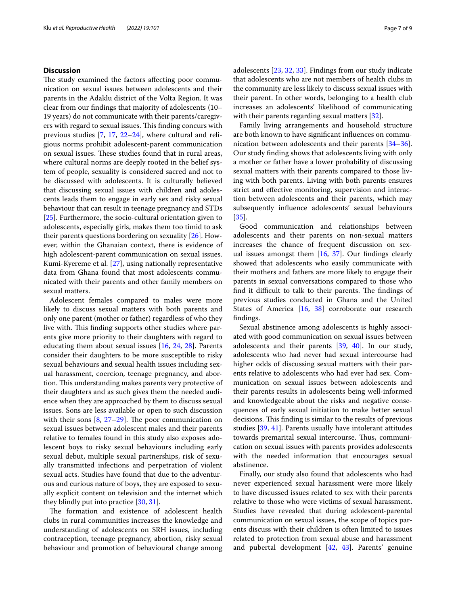## **Discussion**

The study examined the factors affecting poor communication on sexual issues between adolescents and their parents in the Adaklu district of the Volta Region. It was clear from our fndings that majority of adolescents (10– 19 years) do not communicate with their parents/caregivers with regard to sexual issues. This finding concurs with previous studies [[7,](#page-7-5) [17](#page-8-8), [22–](#page-8-13)[24](#page-8-14)], where cultural and religious norms prohibit adolescent-parent communication on sexual issues. These studies found that in rural areas, where cultural norms are deeply rooted in the belief system of people, sexuality is considered sacred and not to be discussed with adolescents. It is culturally believed that discussing sexual issues with children and adolescents leads them to engage in early sex and risky sexual behaviour that can result in teenage pregnancy and STDs [[25\]](#page-8-15). Furthermore, the socio-cultural orientation given to adolescents, especially girls, makes them too timid to ask their parents questions bordering on sexuality [[26\]](#page-8-16). However, within the Ghanaian context, there is evidence of high adolescent-parent communication on sexual issues. Kumi-Kyereme et al. [[27\]](#page-8-17), using nationally representative data from Ghana found that most adolescents communicated with their parents and other family members on sexual matters.

Adolescent females compared to males were more likely to discuss sexual matters with both parents and only one parent (mother or father) regardless of who they live with. This finding supports other studies where parents give more priority to their daughters with regard to educating them about sexual issues [[16](#page-8-6), [24,](#page-8-14) [28](#page-8-18)]. Parents consider their daughters to be more susceptible to risky sexual behaviours and sexual health issues including sexual harassment, coercion, teenage pregnancy, and abortion. This understanding makes parents very protective of their daughters and as such gives them the needed audience when they are approached by them to discuss sexual issues. Sons are less available or open to such discussion with their sons  $[8, 27-29]$  $[8, 27-29]$  $[8, 27-29]$  $[8, 27-29]$ . The poor communication on sexual issues between adolescent males and their parents relative to females found in this study also exposes adolescent boys to risky sexual behaviours including early sexual debut, multiple sexual partnerships, risk of sexually transmitted infections and perpetration of violent sexual acts. Studies have found that due to the adventurous and curious nature of boys, they are exposed to sexually explicit content on television and the internet which they blindly put into practice [\[30,](#page-8-20) [31](#page-8-21)].

The formation and existence of adolescent health clubs in rural communities increases the knowledge and understanding of adolescents on SRH issues, including contraception, teenage pregnancy, abortion, risky sexual behaviour and promotion of behavioural change among adolescents [[23](#page-8-22), [32](#page-8-23), [33\]](#page-8-11). Findings from our study indicate that adolescents who are not members of health clubs in the community are less likely to discuss sexual issues with their parent. In other words, belonging to a health club increases an adolescents' likelihood of communicating with their parents regarding sexual matters [\[32](#page-8-23)].

Family living arrangements and household structure are both known to have signifcant infuences on communication between adolescents and their parents [[34](#page-8-24)[–36](#page-8-25)]. Our study fnding shows that adolescents living with only a mother or father have a lower probability of discussing sexual matters with their parents compared to those living with both parents. Living with both parents ensures strict and efective monitoring, supervision and interaction between adolescents and their parents, which may subsequently infuence adolescents' sexual behaviours [[35\]](#page-8-26).

Good communication and relationships between adolescents and their parents on non-sexual matters increases the chance of frequent discussion on sexual issues amongst them  $[16, 37]$  $[16, 37]$  $[16, 37]$  $[16, 37]$ . Our findings clearly showed that adolescents who easily communicate with their mothers and fathers are more likely to engage their parents in sexual conversations compared to those who find it difficult to talk to their parents. The findings of previous studies conducted in Ghana and the United States of America [[16,](#page-8-6) [38\]](#page-8-28) corroborate our research fndings.

Sexual abstinence among adolescents is highly associated with good communication on sexual issues between adolescents and their parents [\[39](#page-8-29), [40\]](#page-8-12). In our study, adolescents who had never had sexual intercourse had higher odds of discussing sexual matters with their parents relative to adolescents who had ever had sex. Communication on sexual issues between adolescents and their parents results in adolescents being well-informed and knowledgeable about the risks and negative consequences of early sexual initiation to make better sexual decisions. This finding is similar to the results of previous studies [\[39](#page-8-29), [41](#page-8-30)]. Parents usually have intolerant attitudes towards premarital sexual intercourse. Thus, communication on sexual issues with parents provides adolescents with the needed information that encourages sexual abstinence.

Finally, our study also found that adolescents who had never experienced sexual harassment were more likely to have discussed issues related to sex with their parents relative to those who were victims of sexual harassment. Studies have revealed that during adolescent-parental communication on sexual issues, the scope of topics parents discuss with their children is often limited to issues related to protection from sexual abuse and harassment and pubertal development [\[42](#page-8-31), [43](#page-8-32)]. Parents' genuine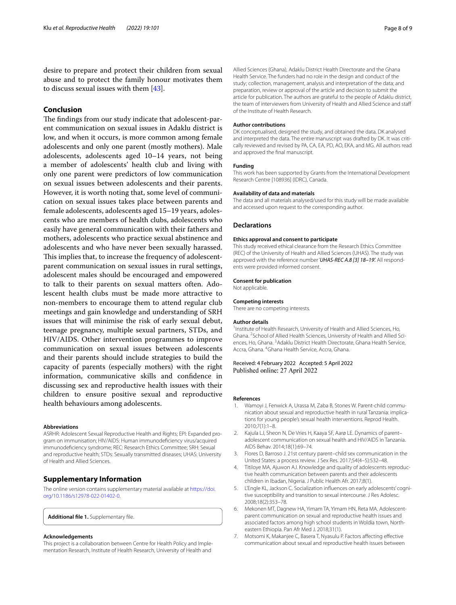desire to prepare and protect their children from sexual abuse and to protect the family honour motivates them to discuss sexual issues with them [\[43\]](#page-8-32).

# **Conclusion**

The findings from our study indicate that adolescent-parent communication on sexual issues in Adaklu district is low, and when it occurs, is more common among female adolescents and only one parent (mostly mothers). Male adolescents, adolescents aged 10–14 years, not being a member of adolescents' health club and living with only one parent were predictors of low communication on sexual issues between adolescents and their parents. However, it is worth noting that, some level of communication on sexual issues takes place between parents and female adolescents, adolescents aged 15–19 years, adolescents who are members of health clubs, adolescents who easily have general communication with their fathers and mothers, adolescents who practice sexual abstinence and adolescents and who have never been sexually harassed. This implies that, to increase the frequency of adolescentparent communication on sexual issues in rural settings, adolescent males should be encouraged and empowered to talk to their parents on sexual matters often. Adolescent health clubs must be made more attractive to non-members to encourage them to attend regular club meetings and gain knowledge and understanding of SRH issues that will minimise the risk of early sexual debut, teenage pregnancy, multiple sexual partners, STDs, and HIV/AIDS. Other intervention programmes to improve communication on sexual issues between adolescents and their parents should include strategies to build the capacity of parents (especially mothers) with the right information, communicative skills and confdence in discussing sex and reproductive health issues with their children to ensure positive sexual and reproductive health behaviours among adolescents.

#### **Abbreviations**

ASRHR: Adolescent Sexual Reproductive Health and Rights; EPI: Expanded program on immunisation; HIV/AIDS: Human immunodefciency virus/acquired immunodefciency syndrome; REC: Research Ethics Committee; SRH: Sexual and reproductive health; STDs: Sexually transmitted diseases; UHAS: University of Health and Allied Sciences.

#### **Supplementary Information**

The online version contains supplementary material available at [https://doi.](https://doi.org/10.1186/s12978-022-01402-0) [org/10.1186/s12978-022-01402-0](https://doi.org/10.1186/s12978-022-01402-0).

<span id="page-7-6"></span>**Additional fle 1.** Supplementary fle.

#### **Acknowledgements**

This project is a collaboration between Centre for Health Policy and Implementation Research, Institute of Health Research, University of Health and

Allied Sciences (Ghana), Adaklu District Health Directorate and the Ghana Health Service. The funders had no role in the design and conduct of the study; collection, management, analysis and interpretation of the data; and preparation, review or approval of the article and decision to submit the article for publication. The authors are grateful to the people of Adaklu district, the team of interviewers from University of Health and Allied Science and staf of the Institute of Health Research.

#### **Author contributions**

DK conceptualised, designed the study, and obtained the data. DK analysed and interpreted the data. The entire manuscript was drafted by DK. It was critically reviewed and revised by PA, CA, EA, PD, AO, EKA, and MG. All authors read and approved the fnal manuscript.

#### **Funding**

This work has been supported by Grants from the International Development Research Centre [108936] (IDRC), Canada.

#### **Availability of data and materials**

The data and all materials analysed/used for this study will be made available and accessed upon request to the corresponding author.

#### **Declarations**

#### **Ethics approval and consent to participate**

This study received ethical clearance from the Research Ethics Committee (REC) of the University of Health and Allied Sciences (UHAS). The study was approved with the reference number '*UHAS-REC A.8 [3] 18–19'.* All respondents were provided informed consent.

#### **Consent for publication**

Not applicable.

#### **Competing interests**

There are no competing interests.

#### **Author details**

<sup>1</sup> Institute of Health Research, University of Health and Allied Sciences, Ho, Ghana. <sup>2</sup> School of Allied Health Sciences, University of Health and Allied Sciences, Ho, Ghana. <sup>3</sup> Adaklu District Health Directorate, Ghana Health Service, Accra, Ghana. <sup>4</sup>Ghana Health Service, Accra, Ghana.

#### Received: 4 February 2022 Accepted: 5 April 2022 Published online: 27 April 2022

#### **References**

- <span id="page-7-0"></span>1. Wamoyi J, Fenwick A, Urassa M, Zaba B, Stones W. Parent-child communication about sexual and reproductive health in rural Tanzania: implications for young people's sexual health interventions. Reprod Health. 2010;7(1):1–8.
- <span id="page-7-1"></span>2. Kajula LJ, Sheon N, De Vries H, Kaaya SF, Aarø LE. Dynamics of parent– adolescent communication on sexual health and HIV/AIDS in Tanzania. AIDS Behav. 2014;18(1):69–74.
- 3. Flores D, Barroso J. 21st century parent–child sex communication in the United States: a process review. J Sex Res. 2017;54(4–5):532–48.
- <span id="page-7-2"></span>4. Titiloye MA, Ajuwon AJ. Knowledge and quality of adolescents reproductive health communication between parents and their adolescents children in Ibadan, Nigeria. J Public Health Afr. 2017;8(1).
- <span id="page-7-3"></span>5. L'Engle KL, Jackson C. Socialization infuences on early adolescents' cognitive susceptibility and transition to sexual intercourse. J Res Adolesc. 2008;18(2):353–78.
- <span id="page-7-4"></span>6. Mekonen MT, Dagnew HA, Yimam TA, Yimam HN, Reta MA. Adolescentparent communication on sexual and reproductive health issues and associated factors among high school students in Woldia town, Northeastern Ethiopia. Pan Afr Med J. 2018;31(1).
- <span id="page-7-5"></span>7. Motsomi K, Makanjee C, Basera T, Nyasulu P. Factors afecting efective communication about sexual and reproductive health issues between